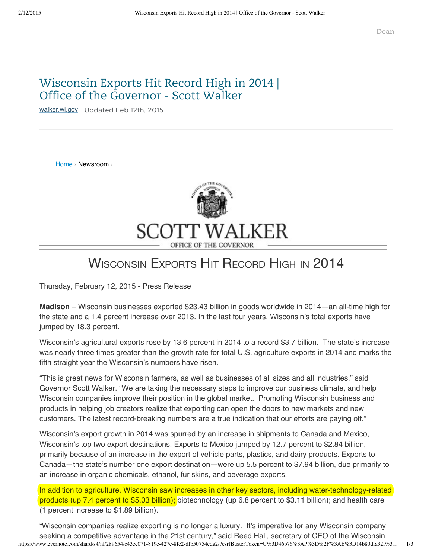## Wisconsin Exports Hit Record High in 2014 | Office of the Governor - Scott Walker

[walker.wi.gov](http://walker.wi.gov/newsroom/press-release/wisconsin-exports-hit-record-high-2014) Updated Feb 12th, 2015

Home › Newsroom ›



## WISCONSIN EXPORTS HIT RECORD HIGH IN 2014

Thursday, February 12, 2015 - Press Release

**Madison** – Wisconsin businesses exported \$23.43 billion in goods worldwide in 2014—an all-time high for the state and a 1.4 percent increase over 2013. In the last four years, Wisconsin's total exports have jumped by 18.3 percent.

Wisconsin's agricultural exports rose by 13.6 percent in 2014 to a record \$3.7 billion. The state's increase was nearly three times greater than the growth rate for total U.S. agriculture exports in 2014 and marks the fifth straight year the Wisconsin's numbers have risen.

"This is great news for Wisconsin farmers, as well as businesses of all sizes and all industries," said Governor Scott Walker. "We are taking the necessary steps to improve our business climate, and help Wisconsin companies improve their position in the global market. Promoting Wisconsin business and products in helping job creators realize that exporting can open the doors to new markets and new customers. The latest record-breaking numbers are a true indication that our efforts are paying off."

Wisconsin's export growth in 2014 was spurred by an increase in shipments to Canada and Mexico, Wisconsin's top two export destinations. Exports to Mexico jumped by 12.7 percent to \$2.84 billion, primarily because of an increase in the export of vehicle parts, plastics, and dairy products. Exports to Canada—the state's number one export destination—were up 5.5 percent to \$7.94 billion, due primarily to an increase in organic chemicals, ethanol, fur skins, and beverage exports.

In addition to agriculture, Wisconsin saw increases in other key sectors, including water-technology-related products (up 7.4 percent to \$5.03 billion); biotechnology (up 6.8 percent to \$3.11 billion); and health care (1 percent increase to \$1.89 billion).

https://www.evernote.com/shard/s4/nl/289654/c43ec071-819e-427c-8fe2-dfb50754eda2/?csrfBusterToken=U%3D46b76%3AP%3D%2F%3AE%3D14b80dfa32f%3… 1/3 "Wisconsin companies realize exporting is no longer a luxury. It's imperative for any Wisconsin company seeking a competitive advantage in the 21st century," said Reed Hall, secretary of CEO of the Wisconsin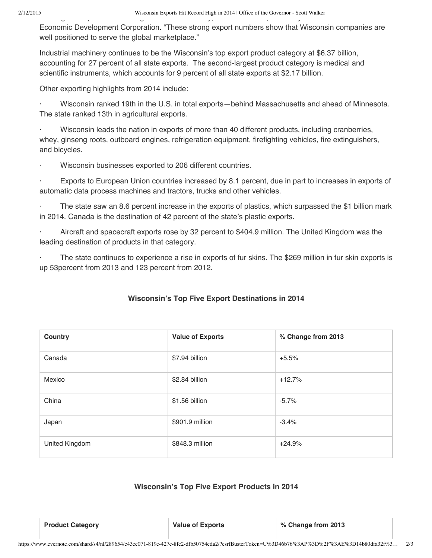Economic Development Corporation. "These strong export numbers show that Wisconsin companies are well positioned to serve the global marketplace."

Industrial machinery continues to be the Wisconsin's top export product category at \$6.37 billion, accounting for 27 percent of all state exports. The second-largest product category is medical and scientific instruments, which accounts for 9 percent of all state exports at \$2.17 billion.

Other exporting highlights from 2014 include:

· Wisconsin ranked 19th in the U.S. in total exports—behind Massachusetts and ahead of Minnesota. The state ranked 13th in agricultural exports.

· Wisconsin leads the nation in exports of more than 40 different products, including cranberries, whey, ginseng roots, outboard engines, refrigeration equipment, firefighting vehicles, fire extinguishers, and bicycles.

Wisconsin businesses exported to 206 different countries.

Exports to European Union countries increased by 8.1 percent, due in part to increases in exports of automatic data process machines and tractors, trucks and other vehicles.

The state saw an 8.6 percent increase in the exports of plastics, which surpassed the \$1 billion mark in 2014. Canada is the destination of 42 percent of the state's plastic exports.

Aircraft and spacecraft exports rose by 32 percent to \$404.9 million. The United Kingdom was the leading destination of products in that category.

The state continues to experience a rise in exports of fur skins. The \$269 million in fur skin exports is up 53percent from 2013 and 123 percent from 2012.

| Country                                             | <b>Value of Exports</b> | % Change from 2013 |  |
|-----------------------------------------------------|-------------------------|--------------------|--|
| Canada                                              | \$7.94 billion          | $+5.5%$            |  |
| Mexico                                              | \$2.84 billion          | $+12.7%$           |  |
| China                                               | \$1.56 billion          | $-5.7\%$           |  |
| Japan                                               | \$901.9 million         | $-3.4%$            |  |
| United Kingdom                                      | \$848.3 million         | $+24.9%$           |  |
| <b>Wisconsin's Top Five Export Products in 2014</b> |                         |                    |  |
| <b>Product Category</b>                             | <b>Value of Exports</b> | % Change from 2013 |  |

## **Wisconsin's Top Five Export Destinations in 2014**